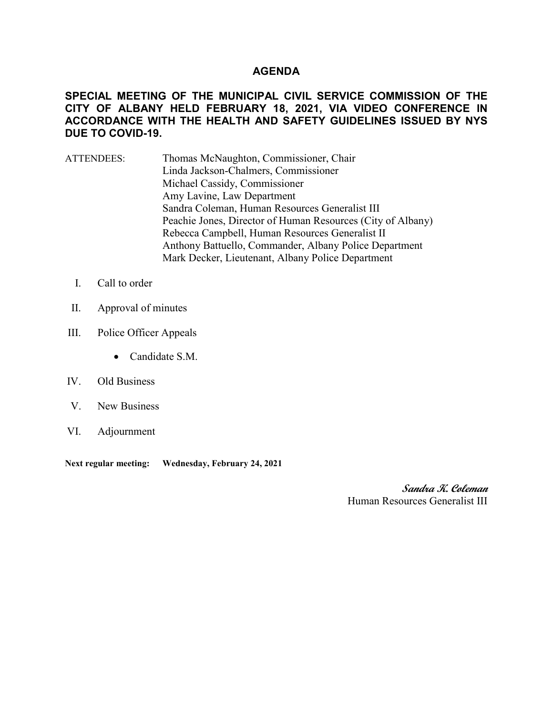### **AGENDA**

## **SPECIAL MEETING OF THE MUNICIPAL CIVIL SERVICE COMMISSION OF THE CITY OF ALBANY HELD FEBRUARY 18, 2021, VIA VIDEO CONFERENCE IN ACCORDANCE WITH THE HEALTH AND SAFETY GUIDELINES ISSUED BY NYS DUE TO COVID-19.**

- ATTENDEES: Thomas McNaughton, Commissioner, Chair Linda Jackson-Chalmers, Commissioner Michael Cassidy, Commissioner Amy Lavine, Law Department Sandra Coleman, Human Resources Generalist III Peachie Jones, Director of Human Resources (City of Albany) Rebecca Campbell, Human Resources Generalist II Anthony Battuello, Commander, Albany Police Department Mark Decker, Lieutenant, Albany Police Department
	- I. Call to order
- II. Approval of minutes
- III. Police Officer Appeals
	- Candidate S.M.

## IV. Old Business

- V. New Business
- VI. Adjournment

**Next regular meeting: Wednesday, February 24, 2021** 

**Sandra K. Coleman** Human Resources Generalist III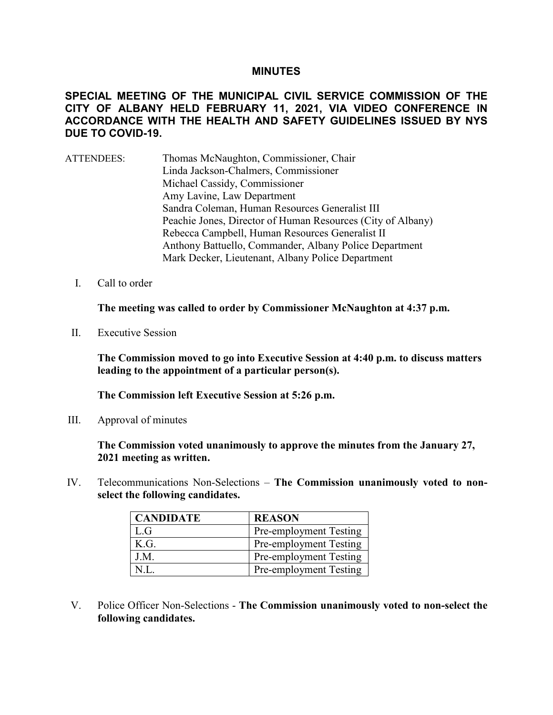### **MINUTES**

# **SPECIAL MEETING OF THE MUNICIPAL CIVIL SERVICE COMMISSION OF THE CITY OF ALBANY HELD FEBRUARY 11, 2021, VIA VIDEO CONFERENCE IN ACCORDANCE WITH THE HEALTH AND SAFETY GUIDELINES ISSUED BY NYS DUE TO COVID-19.**

- ATTENDEES: Thomas McNaughton, Commissioner, Chair Linda Jackson-Chalmers, Commissioner Michael Cassidy, Commissioner Amy Lavine, Law Department Sandra Coleman, Human Resources Generalist III Peachie Jones, Director of Human Resources (City of Albany) Rebecca Campbell, Human Resources Generalist II Anthony Battuello, Commander, Albany Police Department Mark Decker, Lieutenant, Albany Police Department
	- I. Call to order

**The meeting was called to order by Commissioner McNaughton at 4:37 p.m.**

II. Executive Session

**The Commission moved to go into Executive Session at 4:40 p.m. to discuss matters leading to the appointment of a particular person(s).**

**The Commission left Executive Session at 5:26 p.m.** 

III. Approval of minutes

**The Commission voted unanimously to approve the minutes from the January 27, 2021 meeting as written.**

IV. Telecommunications Non-Selections – **The Commission unanimously voted to nonselect the following candidates.**

| <b>CANDIDATE</b> | <b>REASON</b>          |
|------------------|------------------------|
| L.G              | Pre-employment Testing |
| K.G.             | Pre-employment Testing |
| J.M.             | Pre-employment Testing |
|                  | Pre-employment Testing |

V. Police Officer Non-Selections - **The Commission unanimously voted to non-select the following candidates.**